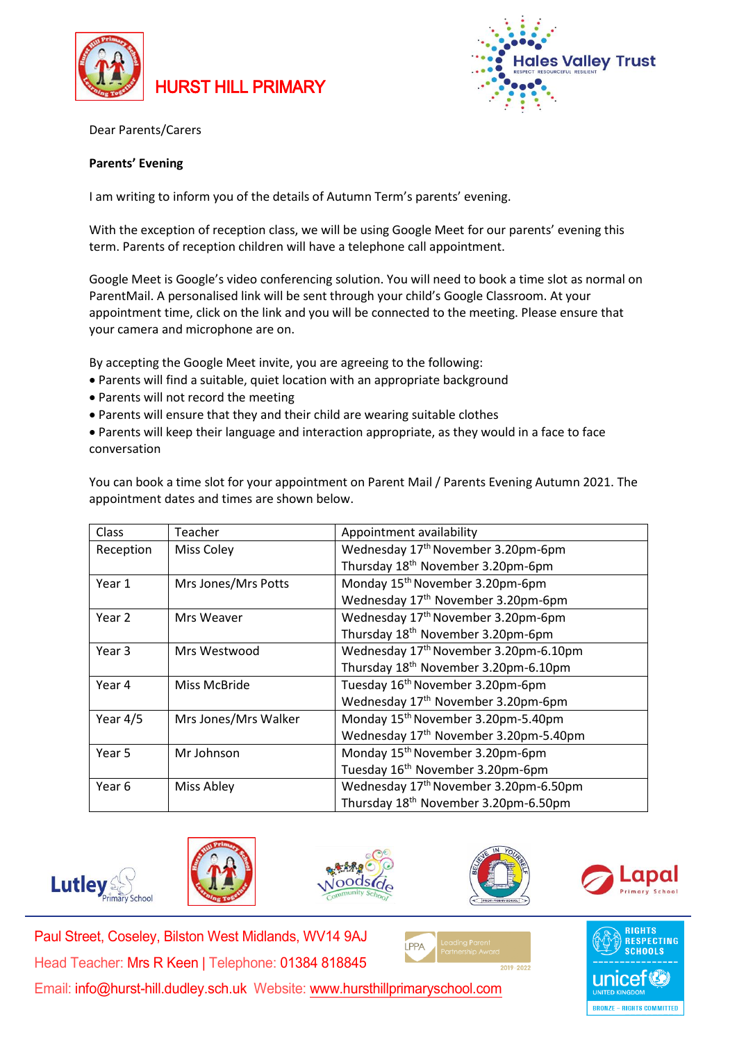





Dear Parents/Carers

## **Parents' Evening**

I am writing to inform you of the details of Autumn Term's parents' evening.

With the exception of reception class, we will be using Google Meet for our parents' evening this term. Parents of reception children will have a telephone call appointment.

Google Meet is Google's video conferencing solution. You will need to book a time slot as normal on ParentMail. A personalised link will be sent through your child's Google Classroom. At your appointment time, click on the link and you will be connected to the meeting. Please ensure that your camera and microphone are on.

By accepting the Google Meet invite, you are agreeing to the following:

- Parents will find a suitable, quiet location with an appropriate background
- Parents will not record the meeting
- Parents will ensure that they and their child are wearing suitable clothes
- Parents will keep their language and interaction appropriate, as they would in a face to face conversation

You can book a time slot for your appointment on Parent Mail / Parents Evening Autumn 2021. The appointment dates and times are shown below.

| Class      | Teacher              | Appointment availability                          |
|------------|----------------------|---------------------------------------------------|
| Reception  | <b>Miss Coley</b>    | Wednesday 17 <sup>th</sup> November 3.20pm-6pm    |
|            |                      | Thursday 18 <sup>th</sup> November 3.20pm-6pm     |
| Year 1     | Mrs Jones/Mrs Potts  | Monday 15 <sup>th</sup> November 3.20pm-6pm       |
|            |                      | Wednesday 17th November 3.20pm-6pm                |
| Year 2     | Mrs Weaver           | Wednesday 17 <sup>th</sup> November 3.20pm-6pm    |
|            |                      | Thursday 18 <sup>th</sup> November 3.20pm-6pm     |
| Year 3     | Mrs Westwood         | Wednesday 17 <sup>th</sup> November 3.20pm-6.10pm |
|            |                      | Thursday 18 <sup>th</sup> November 3.20pm-6.10pm  |
| Year 4     | Miss McBride         | Tuesday 16 <sup>th</sup> November 3.20pm-6pm      |
|            |                      | Wednesday 17 <sup>th</sup> November 3.20pm-6pm    |
| Year $4/5$ | Mrs Jones/Mrs Walker | Monday 15 <sup>th</sup> November 3.20pm-5.40pm    |
|            |                      | Wednesday 17 <sup>th</sup> November 3.20pm-5.40pm |
| Year 5     | Mr Johnson           | Monday 15 <sup>th</sup> November 3.20pm-6pm       |
|            |                      | Tuesday 16 <sup>th</sup> November 3.20pm-6pm      |
| Year 6     | Miss Abley           | Wednesday 17 <sup>th</sup> November 3.20pm-6.50pm |
|            |                      | Thursday 18 <sup>th</sup> November 3.20pm-6.50pm  |











Paul Street, Coseley, Bilston West Midlands, WV14 9AJ Head Teacher: Mrs R Keen | Telephone: 01384 818845 Email: info@hurst-hill.dudley.sch.uk Website: [www.hursthillprimaryschool.com](http://www.hursthillprimaryschool.com|/)